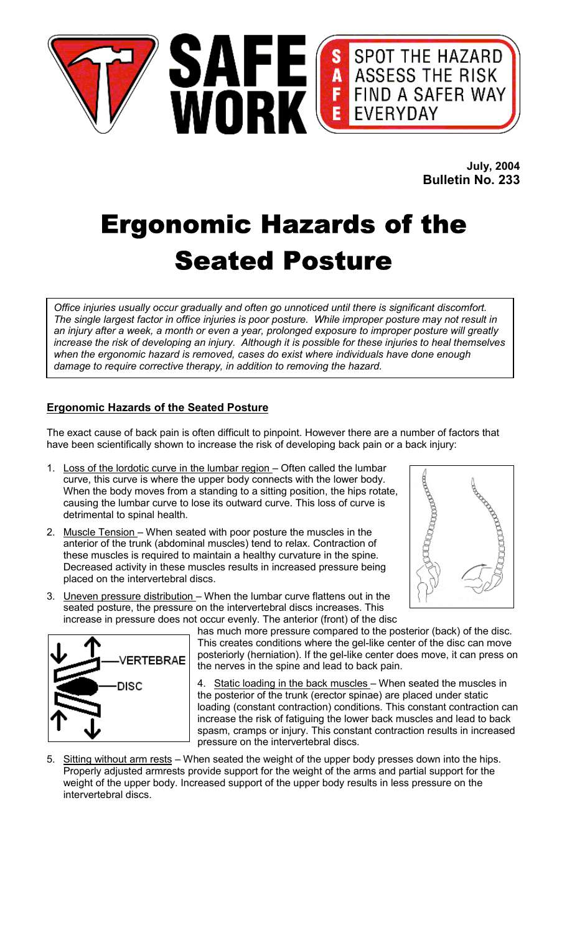

**July, 2004 Bulletin No. 233**

# Ergonomic Hazards of the Seated Posture

*Office injuries usually occur gradually and often go unnoticed until there is significant discomfort. The single largest factor in office injuries is poor posture. While improper posture may not result in an injury after a week, a month or even a year, prolonged exposure to improper posture will greatly increase the risk of developing an injury. Although it is possible for these injuries to heal themselves when the ergonomic hazard is removed, cases do exist where individuals have done enough damage to require corrective therapy, in addition to removing the hazard.*

## **Ergonomic Hazards of the Seated Posture**

The exact cause of back pain is often difficult to pinpoint. However there are a number of factors that have been scientifically shown to increase the risk of developing back pain or a back injury:

- 1. Loss of the lordotic curve in the lumbar region Often called the lumbar curve, this curve is where the upper body connects with the lower body. When the body moves from a standing to a sitting position, the hips rotate, causing the lumbar curve to lose its outward curve. This loss of curve is detrimental to spinal health.
- 2. Muscle Tension When seated with poor posture the muscles in the anterior of the trunk (abdominal muscles) tend to relax. Contraction of these muscles is required to maintain a healthy curvature in the spine. Decreased activity in these muscles results in increased pressure being placed on the intervertebral discs.
- 3. Uneven pressure distribution When the lumbar curve flattens out in the seated posture, the pressure on the intervertebral discs increases. This increase in pressure does not occur evenly. The anterior (front) of the disc





has much more pressure compared to the posterior (back) of the disc. This creates conditions where the gel-like center of the disc can move posteriorly (herniation). If the gel-like center does move, it can press on the nerves in the spine and lead to back pain.

4. Static loading in the back muscles - When seated the muscles in the posterior of the trunk (erector spinae) are placed under static loading (constant contraction) conditions. This constant contraction can increase the risk of fatiguing the lower back muscles and lead to back spasm, cramps or injury. This constant contraction results in increased pressure on the intervertebral discs.

5. Sitting without arm rests - When seated the weight of the upper body presses down into the hips. Properly adjusted armrests provide support for the weight of the arms and partial support for the weight of the upper body. Increased support of the upper body results in less pressure on the intervertebral discs.